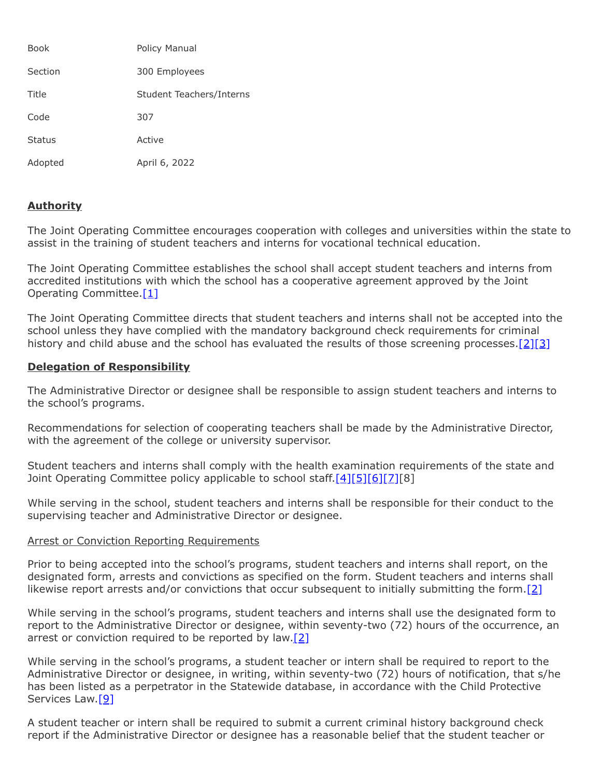| <b>Book</b>   | Policy Manual            |
|---------------|--------------------------|
| Section       | 300 Employees            |
| Title         | Student Teachers/Interns |
| Code          | 307                      |
| <b>Status</b> | Active                   |
| Adopted       | April 6, 2022            |

# **Authority**

The Joint Operating Committee encourages cooperation with colleges and universities within the state to assist in the training of student teachers and interns for vocational technical education.

The Joint Operating Committee establishes the school shall accept student teachers and interns from accredited institutions with which the school has a cooperative agreement approved by the Joint Operating Committee.<sup>[1]</sup>

The Joint Operating Committee directs that student teachers and interns shall not be accepted into the school unless they have complied with the mandatory background check requirements for criminal history and child abuse and the school has evaluated the results of those screening processes.<sup>[\[2\]](http://www.legis.state.pa.us/cfdocs/legis/LI/uconsCheck.cfm?txtType=HTM&yr=1949&sessInd=0&smthLwInd=0&act=14&chpt=1&sctn=11&subsctn=0)[\[3\]](http://www.legis.state.pa.us/cfdocs/legis/LI/consCheck.cfm?txtType=HTM&ttl=23&div=0&chpt=63&sctn=44&subsctn=0)</sup>

## **Delegation of Responsibility**

The Administrative Director or designee shall be responsible to assign student teachers and interns to the school's programs.

Recommendations for selection of cooperating teachers shall be made by the Administrative Director, with the agreement of the college or university supervisor.

Student teachers and interns shall comply with the health examination requirements of the state and Joint Operating Committee policy applicable to school staff.[\[4\]](http://www.legis.state.pa.us/cfdocs/legis/LI/uconsCheck.cfm?txtType=HTM&yr=1949&sessInd=0&smthLwInd=0&act=14&chpt=14&sctn=18&subsctn=0)[\[5\]](http://pacodeandbulletin.gov/Display/pacode?file=/secure/pacode/data/028/chapter23/s23.43.html&d=reduce)[\[6\]](http://pacodeandbulletin.gov/Display/pacode?file=/secure/pacode/data/028/chapter23/s23.44.html&d=reduce)[\[7\]](http://pacodeandbulletin.gov/Display/pacode?file=/secure/pacode/data/028/chapter23/s23.45.html&d=reduce)[8]

While serving in the school, student teachers and interns shall be responsible for their conduct to the supervising teacher and Administrative Director or designee.

### Arrest or Conviction Reporting Requirements

Prior to being accepted into the school's programs, student teachers and interns shall report, on the designated form, arrests and convictions as specified on the form. Student teachers and interns shall likewise report arrests and/or convictions that occur subsequent to initially submitting the form.<sup>[\[2\]](http://www.legis.state.pa.us/cfdocs/legis/LI/uconsCheck.cfm?txtType=HTM&yr=1949&sessInd=0&smthLwInd=0&act=14&chpt=1&sctn=11&subsctn=0)</sup>

While serving in the school's programs, student teachers and interns shall use the designated form to report to the Administrative Director or designee, within seventy-two (72) hours of the occurrence, an arrest or conviction required to be reported by law[.\[2\]](http://www.legis.state.pa.us/cfdocs/legis/LI/uconsCheck.cfm?txtType=HTM&yr=1949&sessInd=0&smthLwInd=0&act=14&chpt=1&sctn=11&subsctn=0)

While serving in the school's programs, a student teacher or intern shall be required to report to the Administrative Director or designee, in writing, within seventy-two (72) hours of notification, that s/he has been listed as a perpetrator in the Statewide database, in accordance with the Child Protective Services Law.<sup>[9]</sup>

A student teacher or intern shall be required to submit a current criminal history background check report if the Administrative Director or designee has a reasonable belief that the student teacher or